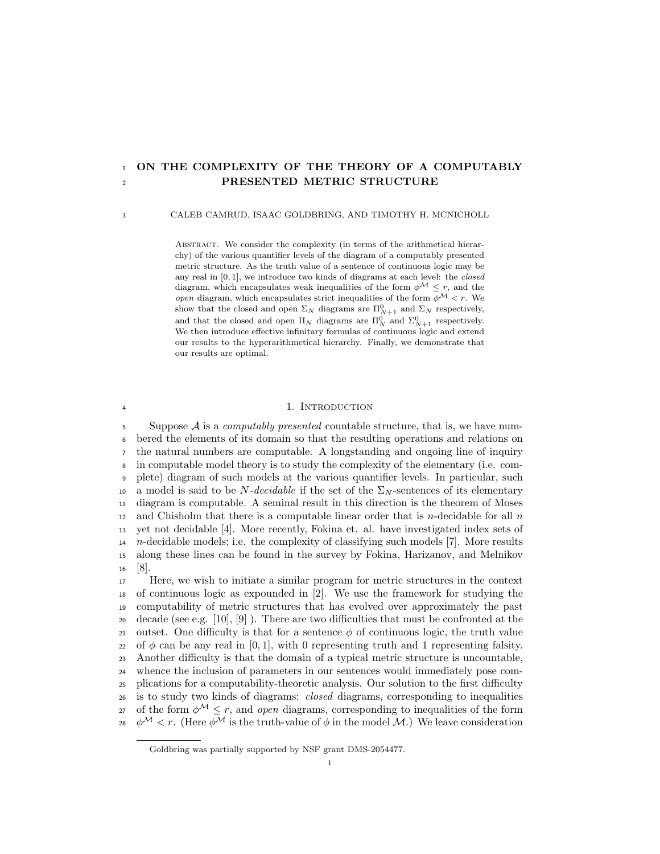# <sup>1</sup> ON THE COMPLEXITY OF THE THEORY OF A COMPUTABLY <sup>2</sup> PRESENTED METRIC STRUCTURE

### 3 CALEB CAMRUD, ISAAC GOLDBRING, AND TIMOTHY H. MCNICHOLL

ABSTRACT. We consider the complexity (in terms of the arithmetical hierarchy) of the various quantifier levels of the diagram of a computably presented metric structure. As the truth value of a sentence of continuous logic may be any real in [0, 1], we introduce two kinds of diagrams at each level: the closed diagram, which encapsulates weak inequalities of the form  $\phi^{\mathcal{M}} \leq r$ , and the open diagram, which encapsulates strict inequalities of the form  $\phi^{\mathcal{M}} < r$ . We show that the closed and open  $\Sigma_N$  diagrams are  $\Pi_{N+1}^0$  and  $\Sigma_N$  respectively, and that the closed and open  $\Pi_N$  diagrams are  $\Pi_N^0$  and  $\Sigma_{N+1}^0$  respectively. We then introduce effective infinitary formulas of continuous logic and extend our results to the hyperarithmetical hierarchy. Finally, we demonstrate that our results are optimal.

#### 1. INTRODUCTION

5 Suppose  $\mathcal A$  is a *computably presented* countable structure, that is, we have num- bered the elements of its domain so that the resulting operations and relations on the natural numbers are computable. A longstanding and ongoing line of inquiry in computable model theory is to study the complexity of the elementary (i.e. com- plete) diagram of such models at the various quantifier levels. In particular, such 10 a model is said to be N-decidable if the set of the  $\Sigma_N$ -sentences of its elementary diagram is computable. A seminal result in this direction is the theorem of Moses 12 and Chisholm that there is a computable linear order that is *n*-decidable for all  $n$  yet not decidable [4]. More recently, Fokina et. al. have investigated index sets of n-decidable models; i.e. the complexity of classifying such models [7]. More results along these lines can be found in the survey by Fokina, Harizanov, and Melnikov <sup>16</sup> [8].

 Here, we wish to initiate a similar program for metric structures in the context of continuous logic as expounded in [2]. We use the framework for studying the computability of metric structures that has evolved over approximately the past decade (see e.g. [10], [9] ). There are two difficulties that must be confronted at the 21 outset. One difficulty is that for a sentence  $\phi$  of continuous logic, the truth value 22 of  $\phi$  can be any real in [0, 1], with 0 representing truth and 1 representing falsity. Another difficulty is that the domain of a typical metric structure is uncountable, whence the inclusion of parameters in our sentences would immediately pose com- plications for a computability-theoretic analysis. Our solution to the first difficulty is to study two kinds of diagrams: closed diagrams, corresponding to inequalities 27 of the form  $\phi^{\mathcal{M}} \leq r$ , and open diagrams, corresponding to inequalities of the form  $\phi^{\mathcal{M}} < r$ . (Here  $\phi^{\mathcal{M}}$  is the truth-value of  $\phi$  in the model M.) We leave consideration

Goldbring was partially supported by NSF grant DMS-2054477.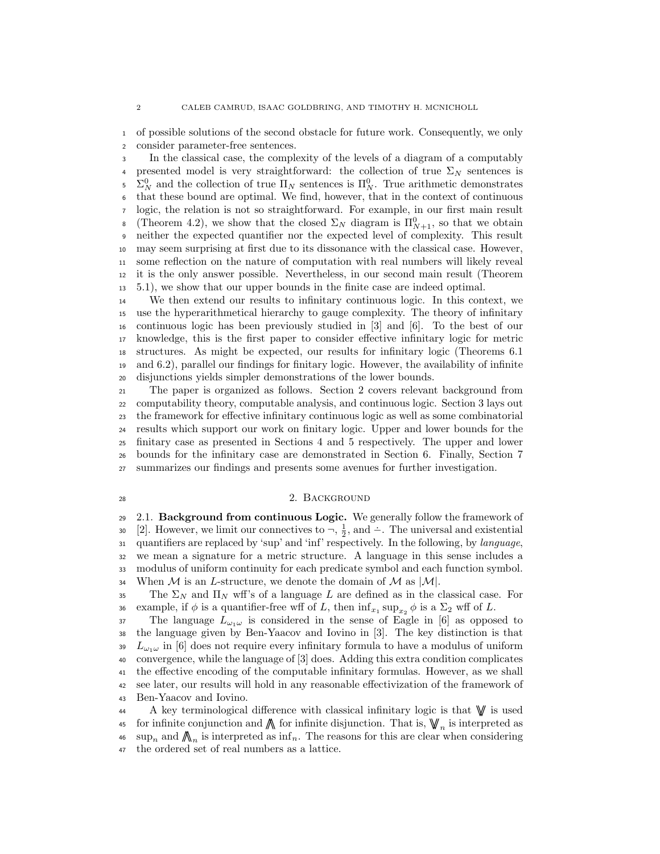of possible solutions of the second obstacle for future work. Consequently, we only consider parameter-free sentences.

In the classical case, the complexity of the levels of a diagram of a computably 4 presented model is very straightforward: the collection of true  $\Sigma_N$  sentences is <sup>5</sup>  $\Sigma_N^0$  and the collection of true Π<sub>N</sub> sentences is  $\Pi_N^0$ . True arithmetic demonstrates that these bound are optimal. We find, however, that in the context of continuous logic, the relation is not so straightforward. For example, in our first main result <sup>8</sup> (Theorem 4.2), we show that the closed  $\Sigma_N$  diagram is  $\Pi_{N+1}^0$ , so that we obtain neither the expected quantifier nor the expected level of complexity. This result may seem surprising at first due to its dissonance with the classical case. However, some reflection on the nature of computation with real numbers will likely reveal it is the only answer possible. Nevertheless, in our second main result (Theorem 5.1), we show that our upper bounds in the finite case are indeed optimal.

 We then extend our results to infinitary continuous logic. In this context, we use the hyperarithmetical hierarchy to gauge complexity. The theory of infinitary continuous logic has been previously studied in [3] and [6]. To the best of our knowledge, this is the first paper to consider effective infinitary logic for metric structures. As might be expected, our results for infinitary logic (Theorems 6.1 and 6.2), parallel our findings for finitary logic. However, the availability of infinite disjunctions yields simpler demonstrations of the lower bounds.

 The paper is organized as follows. Section 2 covers relevant background from computability theory, computable analysis, and continuous logic. Section 3 lays out the framework for effective infinitary continuous logic as well as some combinatorial results which support our work on finitary logic. Upper and lower bounds for the finitary case as presented in Sections 4 and 5 respectively. The upper and lower bounds for the infinitary case are demonstrated in Section 6. Finally, Section 7 summarizes our findings and presents some avenues for further investigation.

# 28 28 28 2. BACKGROUND

 2.1. Background from continuous Logic. We generally follow the framework of  $[2]$ . However, we limit our connectives to  $\neg$ ,  $\frac{1}{2}$ , and  $\div$ . The universal and existential quantifiers are replaced by 'sup' and 'inf' respectively. In the following, by language, we mean a signature for a metric structure. A language in this sense includes a modulus of uniform continuity for each predicate symbol and each function symbol. 34 When M is an L-structure, we denote the domain of M as  $|M|$ .

35 The  $\Sigma_N$  and  $\Pi_N$  wff's of a language L are defined as in the classical case. For 36 example, if  $\phi$  is a quantifier-free wff of L, then  $\inf_{x_1} \sup_{x_2} \phi$  is a  $\Sigma_2$  wff of L.

37 The language  $L_{\omega_1\omega}$  is considered in the sense of Eagle in [6] as opposed to the language given by Ben-Yaacov and Iovino in [3]. The key distinction is that  $L_{\omega_1\omega}$  in [6] does not require every infinitary formula to have a modulus of uniform convergence, while the language of [3] does. Adding this extra condition complicates the effective encoding of the computable infinitary formulas. However, as we shall see later, our results will hold in any reasonable effectivization of the framework of Ben-Yaacov and Iovino.

A key terminological difference with classical infinitary logic is that  $\mathbb{V}$  is used 45 for infinite conjunction and  $\bigwedge$  for infinite disjunction. That is,  $\bigvee_{n}$  is interpreted as <sup>46</sup> sup<sub>n</sub> and  $\bigwedge_n$  is interpreted as  $\inf_n$ . The reasons for this are clear when considering the ordered set of real numbers as a lattice.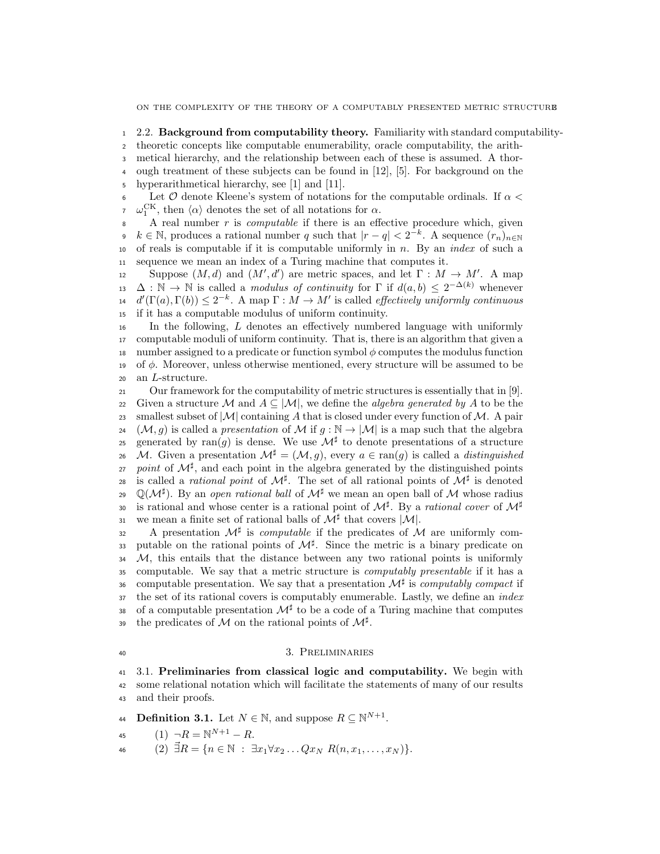<sup>1</sup> 2.2. Background from computability theory. Familiarity with standard computability-

<sup>2</sup> theoretic concepts like computable enumerability, oracle computability, the arith-

<sup>3</sup> metical hierarchy, and the relationship between each of these is assumed. A thor-

<sup>4</sup> ough treatment of these subjects can be found in [12], [5]. For background on the <sup>5</sup> hyperarithmetical hierarchy, see [1] and [11].

6 Let  $\mathcal O$  denote Kleene's system of notations for the computable ordinals. If  $\alpha$  <  $\omega_1^{\text{CK}}$ , then  $\langle \alpha \rangle$  denotes the set of all notations for  $\alpha$ .

 A real number r is *computable* if there is an effective procedure which, given  $k \in \mathbb{N}$ , produces a rational number q such that  $|r - q| < 2^{-k}$ . A sequence  $(r_n)_{n \in \mathbb{N}}$ 10 of reals is computable if it is computable uniformly in  $n$ . By an *index* of such a sequence we mean an index of a Turing machine that computes it.

suppose  $(M, d)$  and  $(M', d')$  are metric spaces, and let  $\Gamma : M \to M'$ . A map  $\Delta : \mathbb{N} \to \mathbb{N}$  is called a *modulus of continuity* for  $\Gamma$  if  $d(a, b) \leq 2^{-\Delta(k)}$  whenever  $d'(\Gamma(a), \Gamma(b)) \leq 2^{-k}$ . A map  $\Gamma : M \to M'$  is called *effectively uniformly continuous* if it has a computable modulus of uniform continuity.

<sup>16</sup> In the following, L denotes an effectively numbered language with uniformly <sup>17</sup> computable moduli of uniform continuity. That is, there is an algorithm that given a 18 number assigned to a predicate or function symbol  $\phi$  computes the modulus function 19 of  $\phi$ . Moreover, unless otherwise mentioned, every structure will be assumed to be <sup>20</sup> an L-structure.

<sup>21</sup> Our framework for the computability of metric structures is essentially that in [9]. 22 Given a structure M and  $A \subseteq |M|$ , we define the *algebra generated by* A to be the 23 smallest subset of  $|M|$  containing A that is closed under every function of M. A pair 24 (M, q) is called a presentation of M if  $q : \mathbb{N} \to |\mathcal{M}|$  is a map such that the algebra generated by ran(g) is dense. We use  $\mathcal{M}^{\sharp}$  to denote presentations of a structure 26 M. Given a presentation  $\mathcal{M}^{\sharp} = (\mathcal{M}, q)$ , every  $a \in \text{ran}(q)$  is called a *distinguished* 27 point of  $\mathcal{M}^{\sharp}$ , and each point in the algebra generated by the distinguished points <sup>28</sup> is called a *rational point* of  $\mathcal{M}^{\sharp}$ . The set of all rational points of  $\mathcal{M}^{\sharp}$  is denoted 29 Q( $\mathcal{M}^{\sharp}$ ). By an *open rational ball* of  $\mathcal{M}^{\sharp}$  we mean an open ball of  $\mathcal{M}$  whose radius is rational and whose center is a rational point of  $\mathcal{M}^{\sharp}$ . By a *rational cover* of  $\mathcal{M}^{\sharp}$ 30 31 we mean a finite set of rational balls of  $\mathcal{M}^{\sharp}$  that covers  $|\mathcal{M}|$ .

32 A presentation  $\mathcal{M}^{\sharp}$  is *computable* if the predicates of M are uniformly com-33 putable on the rational points of  $\mathcal{M}^{\sharp}$ . Since the metric is a binary predicate on  $34$  M, this entails that the distance between any two rational points is uniformly <sup>35</sup> computable. We say that a metric structure is computably presentable if it has a 36 computable presentation. We say that a presentation  $\mathcal{M}^{\sharp}$  is computably compact if 37 the set of its rational covers is computably enumerable. Lastly, we define an *index* 38 of a computable presentation  $\mathcal{M}^{\sharp}$  to be a code of a Turing machine that computes 39 the predicates of M on the rational points of  $\mathcal{M}^{\sharp}$ .

#### 40 3. PRELIMINARIES

<sup>41</sup> 3.1. Preliminaries from classical logic and computability. We begin with <sup>42</sup> some relational notation which will facilitate the statements of many of our results <sup>43</sup> and their proofs.

**44** Definition 3.1. Let  $N \in \mathbb{N}$ , and suppose  $R \subseteq \mathbb{N}^{N+1}$ .

45 
$$
(1) \ \neg R = \mathbb{N}^{N+1} - R.
$$

46 (2)  $\vec{\exists}R = \{n \in \mathbb{N} : \exists x_1 \forall x_2 ... Qx_N R(n, x_1, ..., x_N)\}.$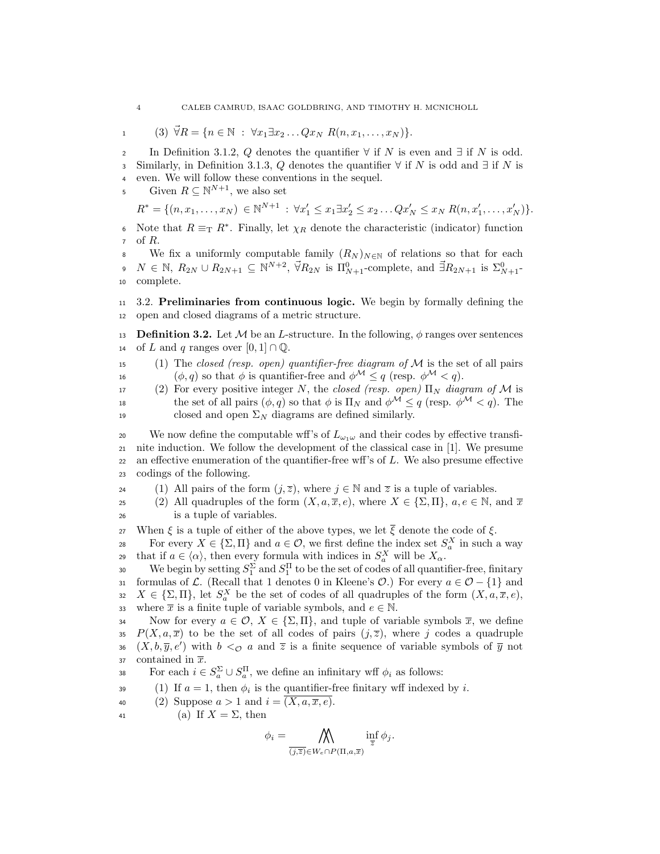$$
1 \qquad (3) \ \vec{\forall} R = \{n \in \mathbb{N} \ : \ \forall x_1 \exists x_2 \dots Q x_N \ R(n, x_1, \dots, x_N)\}.
$$

2 In Definition 3.1.2, Q denotes the quantifier  $\forall$  if N is even and  $\exists$  if N is odd. 3 Similarly, in Definition 3.1.3, Q denotes the quantifier  $\forall$  if N is odd and  $\exists$  if N is <sup>4</sup> even. We will follow these conventions in the sequel.

5 Given  $R \subseteq \mathbb{N}^{N+1}$ , we also set

$$
R^* = \{ (n, x_1, \dots, x_N) \in \mathbb{N}^{N+1} : \forall x_1' \leq x_1 \exists x_2' \leq x_2 \dots Qx_N' \leq x_N R(n, x_1', \dots, x_N') \}.
$$

6 Note that  $R \equiv_T R^*$ . Finally, let  $χ_R$  denote the characteristic (indicator) function of  $R$ .

We fix a uniformly computable family  $(R_N)_{N\in\mathbb{N}}$  of relations so that for each  $N \in \mathbb{N}, R_{2N} \cup R_{2N+1} \subseteq \mathbb{N}^{N+2}, \vec{\forall} R_{2N} \text{ is } \Pi_{N+1}^0\text{-complete, and } \vec{\exists} R_{2N+1} \text{ is } \Sigma_{N+1}^0\text{-}$ <sup>10</sup> complete.

<sup>11</sup> 3.2. Preliminaries from continuous logic. We begin by formally defining the <sup>12</sup> open and closed diagrams of a metric structure.

13 **Definition 3.2.** Let M be an L-structure. In the following,  $\phi$  ranges over sentences 14 of L and q ranges over  $[0, 1] \cap \mathbb{Q}$ .

15 (1) The closed (resp. open) quantifier-free diagram of  $\mathcal M$  is the set of all pairs 16 ( $\phi, q$ ) so that  $\phi$  is quantifier-free and  $\phi^{\mathcal{M}} \leq q$  (resp.  $\phi^{\mathcal{M}} \leq q$ ).

17 (2) For every positive integer N, the closed (resp. open)  $\Pi_N$  diagram of M is 18 the set of all pairs  $(\phi, q)$  so that  $\phi$  is  $\Pi_N$  and  $\phi^{\mathcal{M}} \leq q$  (resp.  $\phi^{\mathcal{M}} < q$ ). The 19 closed and open  $\Sigma_N$  diagrams are defined similarly.

20 We now define the computable wff's of  $L_{\omega_1\omega}$  and their codes by effective transfi-<sup>21</sup> nite induction. We follow the development of the classical case in [1]. We presume 22 an effective enumeration of the quantifier-free wff's of  $L$ . We also presume effective <sup>23</sup> codings of the following.

24 (1) All pairs of the form  $(j,\overline{z})$ , where  $j \in \mathbb{N}$  and  $\overline{z}$  is a tuple of variables.

25 (2) All quadruples of the form  $(X, a, \overline{x}, e)$ , where  $X \in \{\Sigma, \Pi\}$ ,  $a, e \in \mathbb{N}$ , and  $\overline{x}$ <sup>26</sup> is a tuple of variables.

27 When  $\xi$  is a tuple of either of the above types, we let  $\overline{\xi}$  denote the code of  $\xi$ .

For every  $X \in \{\Sigma, \Pi\}$  and  $a \in \mathcal{O}$ , we first define the index set  $S_a^X$  in such a way that if  $a \in \langle \alpha \rangle$ , then every formula with indices in  $S_a^X$  will be  $X_\alpha$ .

30 We begin by setting  $S_1^{\Sigma}$  and  $S_1^{\Pi}$  to be the set of codes of all quantifier-free, finitary 31 formulas of L. (Recall that 1 denotes 0 in Kleene's  $\mathcal{O}$ .) For every  $a \in \mathcal{O} - \{1\}$  and 32  $X \in \{\Sigma, \Pi\}$ , let  $S_a^X$  be the set of codes of all quadruples of the form  $(X, a, \overline{x}, e)$ , 33 where  $\bar{x}$  is a finite tuple of variable symbols, and  $e \in \mathbb{N}$ .

34 Now for every  $a \in \mathcal{O}, X \in \{\Sigma, \Pi\},$  and tuple of variable symbols  $\overline{x}$ , we define 35  $P(X, a, \overline{x})$  to be the set of all codes of pairs  $(j, \overline{z})$ , where j codes a quadruple 36  $(X, b, \overline{y}, e')$  with  $b < \infty$  a and  $\overline{z}$  is a finite sequence of variable symbols of  $\overline{y}$  not 37 contained in  $\overline{x}$ .

38 For each  $i \in S_a^{\Sigma} \cup S_a^{\Pi}$ , we define an infinitary wff  $\phi_i$  as follows:

(1) If  $a = 1$ , then  $\phi_i$  is the quantifier-free finitary wff indexed by i.

$$
40 \qquad (2) \text{ Suppose } a > 1 \text{ and } i = (X, a, \overline{x}, e).
$$

41 (a) If  $X = \Sigma$ , then

$$
\phi_i = \bigwedge_{\overline{(j,\overline{z})} \in W_e \cap P(\Pi,a,\overline{x})} \inf_{\overline{z}} \phi_j.
$$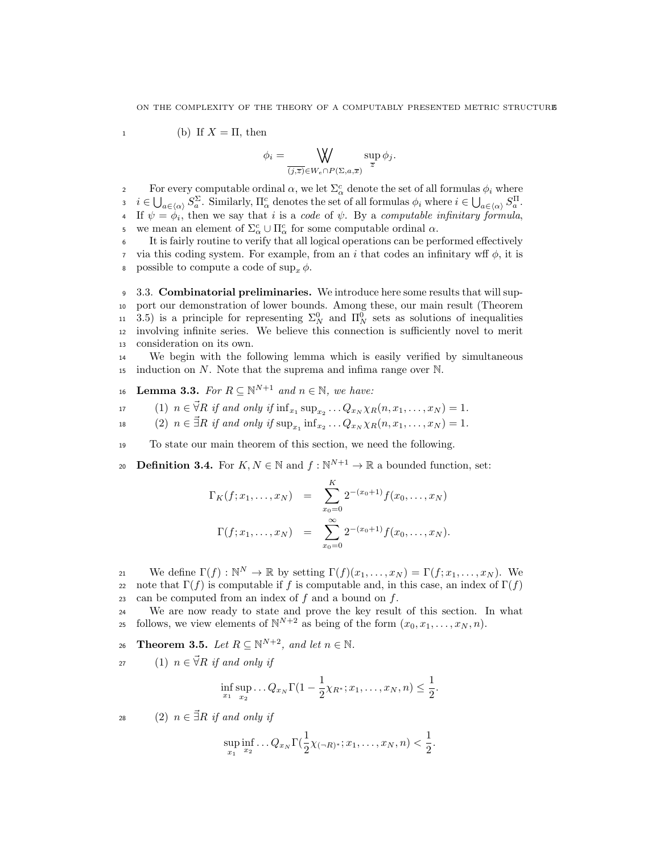$$
1 \t\t(b) If X = \Pi, then
$$

$$
\phi_i = \bigvee_{\overline{(j,\overline{z})} \in W_e \cap P(\Sigma,a,\overline{x})} \sup_{\overline{z}} \phi_j.
$$

For every computable ordinal  $\alpha$ , we let  $\Sigma^c_\alpha$  denote the set of all formulas  $\phi_i$  where  $i \in \bigcup_{a \in \langle \alpha \rangle} S_a^{\Sigma}$ . Similarly,  $\Pi_{\alpha}^c$  denotes the set of all formulas  $\phi_i$  where  $i \in \bigcup_{a \in \langle \alpha \rangle} S_a^{\Pi}$ . If  $\psi = \phi_i$ , then we say that i is a code of  $\psi$ . By a computable infinitary formula, <sup>5</sup> we mean an element of Σ<sup>*c*</sup><sub>α</sub> ∪ Π<sup>*c*</sup><sub>α</sub> for some computable ordinal α.

<sup>6</sup> It is fairly routine to verify that all logical operations can be performed effectively 7 via this coding system. For example, from an i that codes an infinitary wff  $\phi$ , it is 8 possible to compute a code of  $\sup_x \phi$ .

 3.3. Combinatorial preliminaries. We introduce here some results that will sup- port our demonstration of lower bounds. Among these, our main result (Theorem 11 3.5) is a principle for representing  $\Sigma_N^0$  and  $\Pi_N^0$  sets as solutions of inequalities involving infinite series. We believe this connection is sufficiently novel to merit consideration on its own.

<sup>14</sup> We begin with the following lemma which is easily verified by simultaneous 15 induction on N. Note that the suprema and infima range over  $\mathbb{N}$ .

- 16 Lemma 3.3. For  $R \subseteq \mathbb{N}^{N+1}$  and  $n \in \mathbb{N}$ , we have:
- 17 (1)  $n \in \vec{\forall} R$  if and only if  $\inf_{x_1} \sup_{x_2} ... Q_{x_N} \chi_R(n, x_1, ..., x_N) = 1$ .

18 (2)  $n \in \vec{\exists} R$  if and only if  $\sup_{x_1} \inf_{x_2} \dots Q_{x_N} \chi_R(n, x_1, \dots, x_N) = 1$ .

<sup>19</sup> To state our main theorem of this section, we need the following.

**Definition 3.4.** For  $K, N \in \mathbb{N}$  and  $f : \mathbb{N}^{N+1} \to \mathbb{R}$  a bounded function, set:

$$
\Gamma_K(f; x_1, \dots, x_N) = \sum_{x_0=0}^K 2^{-(x_0+1)} f(x_0, \dots, x_N)
$$

$$
\Gamma(f; x_1, \dots, x_N) = \sum_{x_0=0}^{\infty} 2^{-(x_0+1)} f(x_0, \dots, x_N).
$$

21 We define  $\Gamma(f): \mathbb{N}^N \to \mathbb{R}$  by setting  $\Gamma(f)(x_1, \ldots, x_N) = \Gamma(f; x_1, \ldots, x_N)$ . We 22 note that  $\Gamma(f)$  is computable if f is computable and, in this case, an index of  $\Gamma(f)$ 23 can be computed from an index of  $f$  and a bound on  $f$ .

<sup>24</sup> We are now ready to state and prove the key result of this section. In what follows, we view elements of  $\mathbb{N}^{N+2}$  as being of the form  $(x_0, x_1, \ldots, x_N, n)$ .

26 **Theorem 3.5.** Let  $R \subseteq \mathbb{N}^{N+2}$ , and let  $n \in \mathbb{N}$ .

27 (1)  $n \in \overrightarrow{V}R$  if and only if

$$
\inf_{x_1} \sup_{x_2} \dots Q_{x_N} \Gamma(1 - \frac{1}{2}\chi_{R^*}; x_1, \dots, x_N, n) \le \frac{1}{2}.
$$

28 (2)  $n \in \exists R$  if and only if

$$
\sup_{x_1} \inf_{x_2} \dots Q_{x_N} \Gamma(\frac{1}{2} \chi_{(-R)^*}; x_1, \dots, x_N, n) < \frac{1}{2}.
$$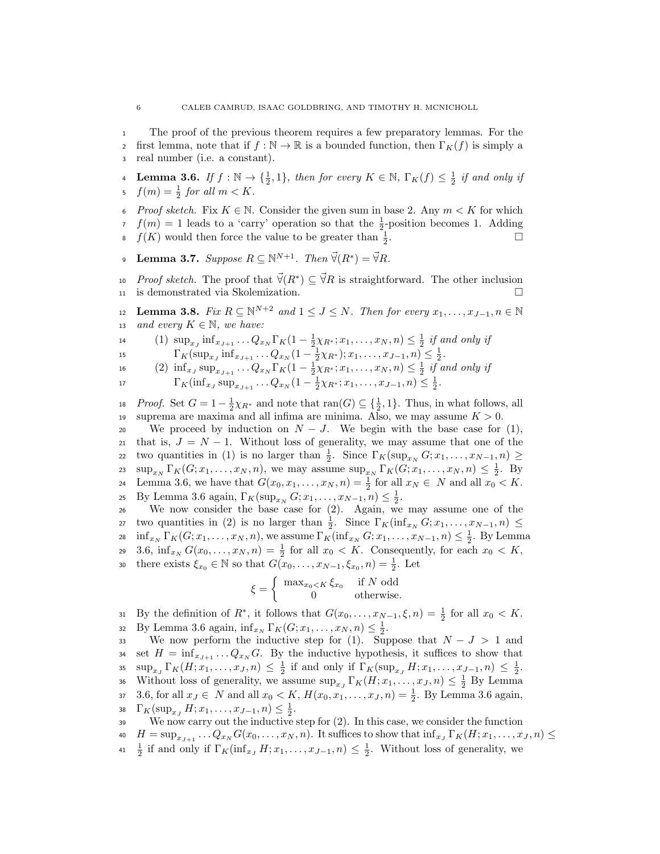- <sup>1</sup> The proof of the previous theorem requires a few preparatory lemmas. For the
- 2 first lemma, note that if  $f : \mathbb{N} \to \mathbb{R}$  is a bounded function, then  $\Gamma_K(f)$  is simply a
- <sup>3</sup> real number (i.e. a constant).
- **4** Lemma 3.6. If  $f : \mathbb{N} \to {\frac{1}{2}, 1}$ , then for every  $K \in \mathbb{N}$ ,  $\Gamma_K(f) \leq \frac{1}{2}$  if and only if  $f(m) = \frac{1}{2}$  for all  $m < K$ .
- 6 Proof sketch. Fix  $K \in \mathbb{N}$ . Consider the given sum in base 2. Any  $m < K$  for which  $f(m) = 1$  leads to a 'carry' operation so that the  $\frac{1}{2}$ -position becomes 1. Adding  $f(K)$  would then force the value to be greater than  $\frac{1}{2}$ .
- **Lemma 3.7.** Suppose  $R \subseteq \mathbb{N}^{N+1}$ . Then  $\vec{\forall}(R^*) = \vec{\forall}R$ .
- 10 *Proof sketch*. The proof that  $\vec{\forall}(R^*) \subseteq \vec{\forall}R$  is straightforward. The other inclusion <sup>11</sup> is demonstrated via Skolemization.

12 **Lemma 3.8.** Fix  $R \subseteq \mathbb{N}^{N+2}$  and  $1 \leq J \leq N$ . Then for every  $x_1, \ldots, x_{J-1}, n \in \mathbb{N}$ 13 and every  $K \in \mathbb{N}$ , we have:

- 14 (1)  $\sup_{x,j} \inf_{x_{J+1}} \dots Q_{x_N} \Gamma_K(1 \frac{1}{2}\chi_{R^*}; x_1, \dots, x_N, n) \leq \frac{1}{2}$  if and only if
- 15  $\Gamma_K(\sup_{x_J} \inf_{x_{J+1}} \dots Q_{x_N}(1 \frac{1}{2}\chi_{R^*}); x_1, \dots, x_{J-1}, n) \leq \frac{1}{2}.$
- 16 (2)  $\inf_{x_J} \sup_{x_{J+1}} \dots Q_{x_N} \Gamma_K(1 \frac{1}{2}\chi_{R^*}; x_1, \dots, x_N, n) \leq \frac{1}{2}$  if and only if
- 17  $\Gamma_K(\inf_{x_J} \sup_{x_{J+1}} \dots Q_{x_N}(1 \frac{1}{2}\chi_{R^*}; x_1, \dots, x_{J-1}, n) \leq \frac{1}{2}.$

18 *Proof.* Set  $G = 1 - \frac{1}{2}\chi_{R^*}$  and note that  $\text{ran}(G) \subseteq {\frac{1}{2}, 1}$ . Thus, in what follows, all 19 suprema are maxima and all infima are minima. Also, we may assume  $K > 0$ .

20 We proceed by induction on  $N-J$ . We begin with the base case for (1), 21 that is,  $J = N - 1$ . Without loss of generality, we may assume that one of the 22 two quantities in (1) is no larger than  $\frac{1}{2}$ . Since  $\Gamma_K(\sup_{x_N} G; x_1, \ldots, x_{N-1}, n) \geq$  $\sup_{x_N} \Gamma_K(G; x_1, \ldots, x_N, n)$ , we may assume  $\sup_{x_N} \Gamma_K(G; x_1, \ldots, x_N, n) \leq \frac{1}{2}$ . By 24 Lemma 3.6, we have that  $G(x_0, x_1, \ldots, x_N, n) = \frac{1}{2}$  for all  $x_N \in N$  and all  $x_0 < K$ . 25 By Lemma 3.6 again,  $\Gamma_K(\sup_{x_N} G; x_1, \ldots, x_{N-1}, n) \leq \frac{1}{2}$ .

<sup>26</sup> We now consider the base case for (2). Again, we may assume one of the 27 two quantities in (2) is no larger than  $\frac{1}{2}$ . Since  $\Gamma_K(\inf_{x_N} G; x_1, \ldots, x_{N-1}, n) \leq$ 28  $\inf_{x_N} \Gamma_K(G; x_1, \ldots, x_N, n)$ , we assume  $\Gamma_K(\inf_{x_N} G; x_1, \ldots, x_{N-1}, n) \leq \frac{1}{2}$ . By Lemma 29 3.6,  $\inf_{x_N} G(x_0, \ldots, x_N, n) = \frac{1}{2}$  for all  $x_0 < K$ . Consequently, for each  $x_0 < K$ , 30 there exists  $\xi_{x_0} \in \mathbb{N}$  so that  $G(x_0, \ldots, x_{N-1}, \xi_{x_0}, n) = \frac{1}{2}$ . Let

$$
\xi = \begin{cases} \max_{x_0 < K} \xi_{x_0} & \text{if } N \text{ odd} \\ 0 & \text{otherwise.} \end{cases}
$$

31 By the definition of  $R^*$ , it follows that  $G(x_0, \ldots, x_{N-1}, \xi, n) = \frac{1}{2}$  for all  $x_0 < K$ . 32 By Lemma 3.6 again,  $\inf_{x_N} \Gamma_K(G; x_1, \ldots, x_N, n) \leq \frac{1}{2}$ .

33 We now perform the inductive step for (1). Suppose that  $N - J > 1$  and set  $H = \inf_{x_{J+1}} \dots Q_{x_N} G$ . By the inductive hypothesis, it suffices to show that 35  $\sup_{x_J} \Gamma_K(H; x_1, \ldots, x_J, n) \leq \frac{1}{2}$  if and only if  $\Gamma_K(\sup_{x_J} H; x_1, \ldots, x_{J-1}, n) \leq \frac{1}{2}$ . 36 Without loss of generality, we assume  $\sup_{x_J} \Gamma_K(H; x_1, \ldots, x_J, n) \leq \frac{1}{2}$  By Lemma 37 3.6, for all  $x_J \in N$  and all  $x_0 < K$ ,  $H(x_0, x_1, \ldots, x_J, n) = \frac{1}{2}$ . By Lemma 3.6 again, 38  $\Gamma_K(\sup_{x_J} H; x_1, \ldots, x_{J-1}, n) \leq \frac{1}{2}.$ <sup>39</sup> We now carry out the inductive step for (2). In this case, we consider the function

- $H = \sup_{x_{J+1}} \ldots Q_{x_N} G(x_0, \ldots, x_N, n)$ . It suffices to show that  $\inf_{x_J} \Gamma_K(H; x_1, \ldots, x_J, n) \le$
- <sup>41</sup>  $\frac{1}{2}$  if and only if  $\Gamma_K(\inf_{x_J} H; x_1, \ldots, x_{J-1}, n) \leq \frac{1}{2}$ . Without loss of generality, we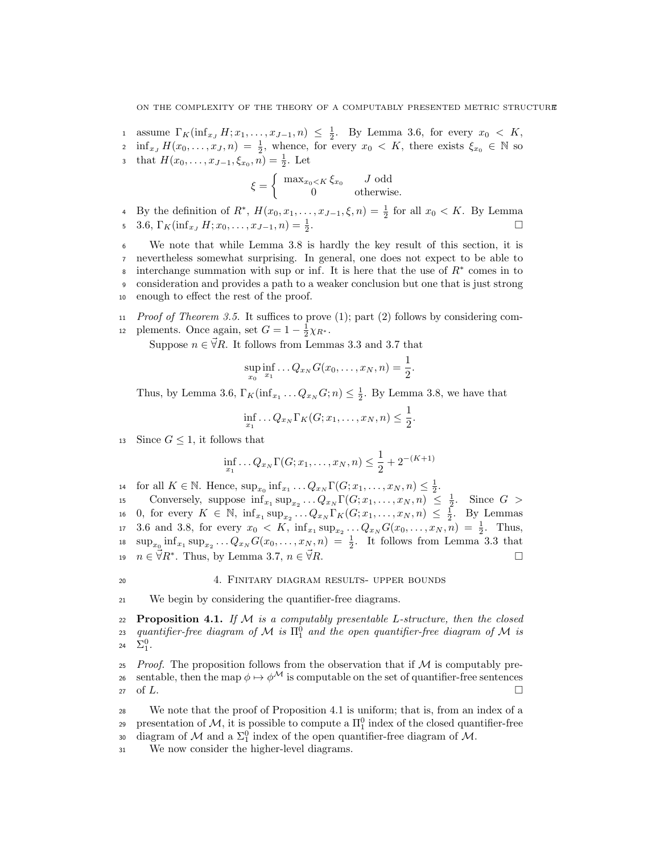assume  $\Gamma_K(\inf_{x_J} H; x_1, \ldots, x_{J-1}, n) \leq \frac{1}{2}$ . By Lemma 3.6, for every  $x_0 \lt K$ ,

 $\inf_{x_J} H(x_0, \ldots, x_J, n) = \frac{1}{2}$ , whence, for every  $x_0 \lt K$ , there exists  $\xi_{x_0} \in \mathbb{N}$  so s that  $H(x_0, \ldots, x_{J-1}, \xi_{x_0}, n) = \frac{1}{2}$ . Let

$$
\xi = \begin{cases} \max_{x_0 < K} \xi_{x_0} & J \text{ odd} \\ 0 & \text{otherwise.} \end{cases}
$$

4 By the definition of  $R^*$ ,  $H(x_0, x_1, \ldots, x_{J-1}, \xi, n) = \frac{1}{2}$  for all  $x_0 < K$ . By Lemma 5 3.6,  $\Gamma_K(\inf_{x_J} H; x_0, \ldots, x_{J-1}, n) = \frac{1}{2}$ . □

 We note that while Lemma 3.8 is hardly the key result of this section, it is nevertheless somewhat surprising. In general, one does not expect to be able to s interchange summation with sup or inf. It is here that the use of  $R^*$  comes in to consideration and provides a path to a weaker conclusion but one that is just strong enough to effect the rest of the proof.

11 Proof of Theorem 3.5. It suffices to prove  $(1)$ ; part  $(2)$  follows by considering com-12 plements. Once again, set  $G = 1 - \frac{1}{2}\chi_{R^*}.$ 

Suppose  $n \in \vec{\forall} R$ . It follows from Lemmas 3.3 and 3.7 that

$$
\sup_{x_0} \inf_{x_1} \dots Q_{x_N} G(x_0, \dots, x_N, n) = \frac{1}{2}.
$$

Thus, by Lemma 3.6,  $\Gamma_K(\inf_{x_1} \ldots Q_{x_N}G; n) \leq \frac{1}{2}$ . By Lemma 3.8, we have that

$$
\inf_{x_1} \dots Q_{x_N} \Gamma_K(G; x_1, \dots, x_N, n) \le \frac{1}{2}.
$$

13 Since  $G \leq 1$ , it follows that

$$
\inf_{x_1} \dots Q_{x_N} \Gamma(G; x_1, \dots, x_N, n) \le \frac{1}{2} + 2^{-(K+1)}
$$

14 for all  $K \in \mathbb{N}$ . Hence,  $\sup_{x_0} \inf_{x_1} \dots Q_{x_N} \Gamma(G; x_1, \dots, x_N, n) \leq \frac{1}{2}$ . 15 Conversely, suppose  $\inf_{x_1} \sup_{x_2} \dots Q_{x_N} \Gamma(G; x_1, \dots, x_N, n) \leq \frac{1}{2}$ . Since  $G >$ 16 0, for every  $K \in \mathbb{N}$ ,  $\inf_{x_1} \sup_{x_2} \dots Q_{x_N} \Gamma_K(G; x_1, \dots, x_N, n) \leq \frac{1}{2}$ . By Lemmas 17 3.6 and 3.8, for every  $x_0 \lt K$ ,  $\inf_{x_1} \sup_{x_2} \ldots Q_{x_N} G(x_0, \ldots, x_N, n) = \frac{1}{2}$ . Thus,  $\sup_{x_0} \inf_{x_1} \sup_{x_2} \dots Q_{x_N} G(x_0, \dots, x_N, n) = \frac{1}{2}$ . It follows from Lemma 3.3 that  $n \in \overrightarrow{\forall} R^*$ . Thus, by Lemma 3.7,  $n \in \overrightarrow{\forall} R$ . 19  $n \in \vec{\forall} R^*$ . Thus, by Lemma 3.7,  $n \in \vec{\forall} R$ .

# 20 4. FINITARY DIAGRAM RESULTS- UPPER BOUNDS

<sup>21</sup> We begin by considering the quantifier-free diagrams.

22 Proposition 4.1. If  $M$  is a computably presentable L-structure, then the closed  $_{{\rm 23}}$  quantifier-free diagram of M is  $\Pi_{{\rm 1}}^{{\rm 0}}$  and the open quantifier-free diagram of M is 24  $\Sigma_1^0$ .

 $25$  Proof. The proposition follows from the observation that if  $M$  is computably pre-26 sentable, then the map  $\phi \mapsto \phi^{\mathcal{M}}$  is computable on the set of quantifier-free sentences  $27 \text{ of } L.$ 

<sup>28</sup> We note that the proof of Proposition 4.1 is uniform; that is, from an index of a presentation of M, it is possible to compute a  $\Pi_1^0$  index of the closed quantifier-free

- 30 diagram of  $\mathcal M$  and a  $\Sigma_1^0$  index of the open quantifier-free diagram of  $\mathcal M$ .
- <sup>31</sup> We now consider the higher-level diagrams.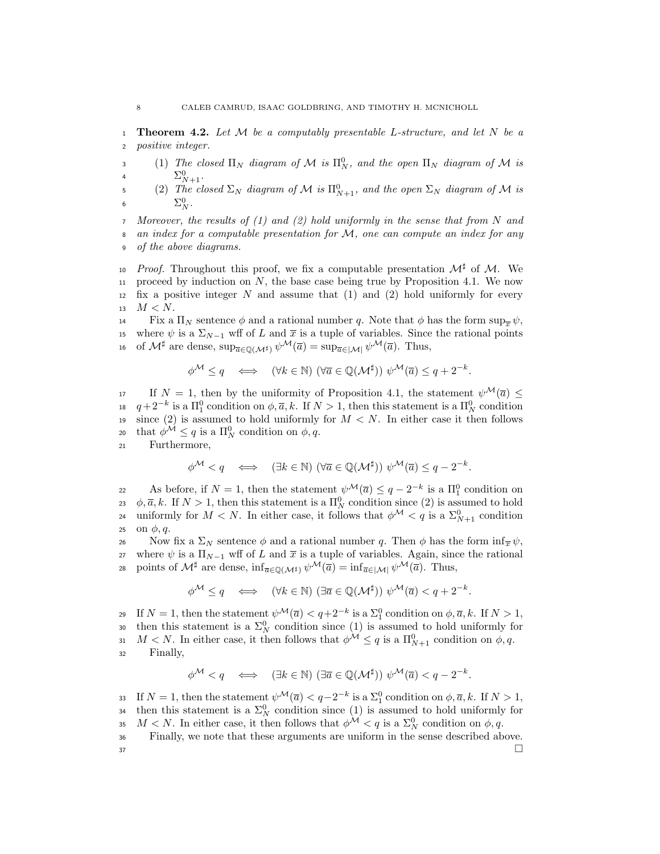1 **Theorem 4.2.** Let M be a computably presentable L-structure, and let N be a <sup>2</sup> positive integer.

3 (1) The closed  $\Pi_N$  diagram of M is  $\Pi_N^0$ , and the open  $\Pi_N$  diagram of M is 4  $\Sigma_{N+1}^0$ .

5 (2) The closed  $\Sigma_N$  diagram of M is  $\Pi^0_{N+1}$ , and the open  $\Sigma_N$  diagram of M is 6  $\Sigma_N^0$ .

<sup>7</sup> Moreover, the results of (1) and (2) hold uniformly in the sense that from N and <sup>8</sup> an index for a computable presentation for M, one can compute an index for any <sup>9</sup> of the above diagrams.

10 *Proof.* Throughout this proof, we fix a computable presentation  $\mathcal{M}^{\sharp}$  of M. We 11 proceed by induction on  $N$ , the base case being true by Proposition 4.1. We now 12 fix a positive integer  $N$  and assume that (1) and (2) hold uniformly for every 13  $M < N$ .

**Fix a**  $\Pi_N$  sentence φ and a rational number q. Note that φ has the form  $\sup_{\overline{x}} \psi$ , 15 where  $\psi$  is a  $\Sigma_{N-1}$  wff of L and  $\bar{x}$  is a tuple of variables. Since the rational points of  $M^{\sharp}$  are dense,  $\sup_{\overline{a}\in\mathbb{O}(\mathcal{M}^{\sharp})}\psi^{\mathcal{M}}(\overline{a})=\sup_{\overline{a}\in|\mathcal{M}|}\psi^{\mathcal{M}}(\overline{a})$ . Thus,

$$
\phi^{\mathcal{M}} \leq q \quad \Longleftrightarrow \quad (\forall k \in \mathbb{N}) \ (\forall \overline{a} \in \mathbb{Q}(\mathcal{M}^{\sharp})) \ \psi^{\mathcal{M}}(\overline{a}) \leq q + 2^{-k}.
$$

17 If  $N = 1$ , then by the uniformity of Proposition 4.1, the statement  $\psi^{\mathcal{M}}(\overline{a})$  < 18  $q+2^{-k}$  is a  $\Pi_1^0$  condition on  $\phi$ ,  $\overline{a}$ ,  $k$ . If  $N>1$ , then this statement is a  $\Pi_N^0$  condition 19 since (2) is assumed to hold uniformly for  $M < N$ . In either case it then follows 20 that  $\phi^{\mathcal{M}} \leq q$  is a  $\Pi_N^0$  condition on  $\phi, q$ .

<sup>21</sup> Furthermore,

$$
\phi^{\mathcal{M}} < q \quad \Longleftrightarrow \quad (\exists k \in \mathbb{N}) \ (\forall \overline{a} \in \mathbb{Q}(\mathcal{M}^{\sharp})) \ \psi^{\mathcal{M}}(\overline{a}) \leq q - 2^{-k}.
$$

22 As before, if  $N = 1$ , then the statement  $\psi^{\mathcal{M}}(\overline{a}) \leq q - 2^{-k}$  is a  $\Pi_1^0$  condition on 23  $\phi$ ,  $\bar{a}$ , k. If  $N > 1$ , then this statement is a  $\Pi_N^0$  condition since (2) is assumed to hold 24 uniformly for  $M < N$ . In either case, it follows that  $\phi^{\mathcal{M}} < q$  is a  $\Sigma_{N+1}^0$  condition 25 on  $\phi, q$ .

26 Now fix a  $\Sigma_N$  sentence  $\phi$  and a rational number q. Then  $\phi$  has the form  $\inf_{\bar{x}} \psi$ , 27 where  $\psi$  is a  $\Pi_{N-1}$  wff of L and  $\bar{x}$  is a tuple of variables. Again, since the rational 28 points of  $\mathcal{M}^{\sharp}$  are dense,  $\inf_{\overline{a}\in\mathbb{Q}(\mathcal{M}^{\sharp})}\psi^{\mathcal{M}}(\overline{a})=\inf_{\overline{a}\in|\mathcal{M}|}\psi^{\mathcal{M}}(\overline{a})$ . Thus,

$$
\phi^{\mathcal{M}} \leq q \quad \Longleftrightarrow \quad (\forall k \in \mathbb{N}) \ (\exists \overline{a} \in \mathbb{Q}(\mathcal{M}^{\sharp})) \ \psi^{\mathcal{M}}(\overline{a}) < q + 2^{-k}.
$$

19 If  $N = 1$ , then the statement  $\psi^{\mathcal{M}}(\overline{a}) < q + 2^{-k}$  is a  $\Sigma_1^0$  condition on  $\phi, \overline{a}, k$ . If  $N > 1$ , 30 then this statement is a  $\Sigma_N^0$  condition since (1) is assumed to hold uniformly for 31  $M < N$ . In either case, it then follows that  $\phi^{\mathcal{M}} \leq q$  is a  $\Pi_{N+1}^0$  condition on  $\phi, q$ . <sup>32</sup> Finally,

$$
\phi^{\mathcal{M}} < q \quad \Longleftrightarrow \quad (\exists k \in \mathbb{N}) \ (\exists \overline{a} \in \mathbb{Q}(\mathcal{M}^{\sharp})) \ \psi^{\mathcal{M}}(\overline{a}) < q - 2^{-k}.
$$

33 If  $N = 1$ , then the statement  $\psi^{\mathcal{M}}(\overline{a}) < q-2^{-k}$  is a  $\Sigma_1^0$  condition on  $\phi, \overline{a}, k$ . If  $N > 1$ , <sup>34</sup> then this statement is a  $\Sigma_N^0$  condition since (1) is assumed to hold uniformly for 35  $M < N$ . In either case, it then follows that  $\phi^{\mathcal{M}} < q$  is a  $\Sigma_N^0$  condition on  $\phi, q$ . <sup>36</sup> Finally, we note that these arguments are uniform in the sense described above.

 $37$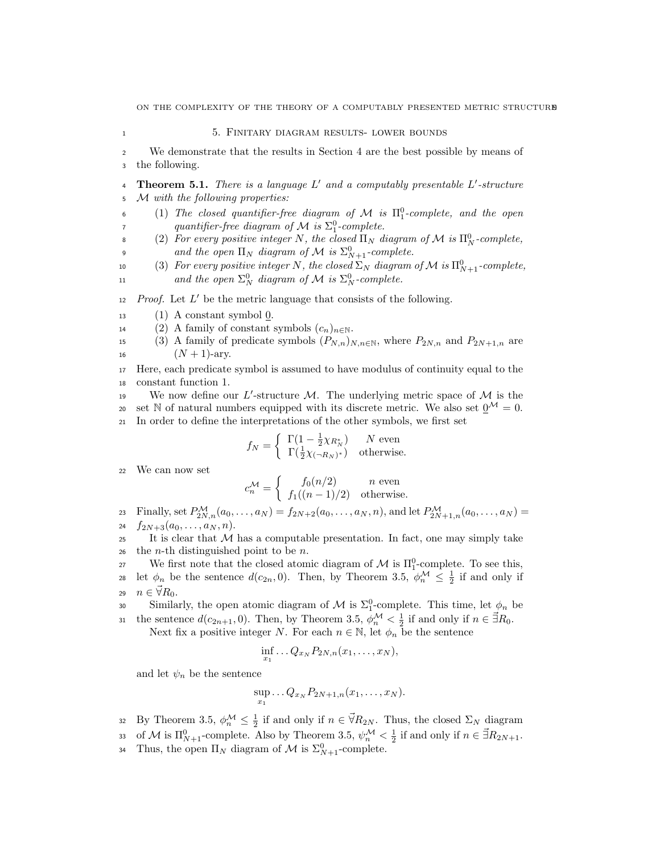1 5. FINITARY DIAGRAM RESULTS- LOWER BOUNDS

<sup>2</sup> We demonstrate that the results in Section 4 are the best possible by means of <sup>3</sup> the following.

- **4** Theorem 5.1. There is a language  $L'$  and a computably presentable  $L'$ -structure <sup>5</sup> M with the following properties:
- $(1)$  The closed quantifier-free diagram of M is  $\Pi^0_1$ -complete, and the open quantifier-free diagram of  $\mathcal M$  is  $\Sigma^0_1$ -complete.
- <sup>8</sup> (2) For every positive integer N, the closed  $\Pi_N$  diagram of M is  $\Pi_N^0$ -complete,
- and the open  $\Pi_N$  diagram of M is  $\Sigma^0_{N+1}$ -complete.
- 10 (3) For every positive integer N, the closed  $\Sigma_N$  diagram of M is  $\Pi^0_{N+1}$ -complete, 11 and the open  $\Sigma_N^0$  diagram of M is  $\Sigma_N^0$ -complete.

 $12$  *Proof.* Let  $L'$  be the metric language that consists of the following.

- 13 (1) A constant symbol  $\underline{0}$ .
- 14 (2) A family of constant symbols  $(c_n)_{n\in\mathbb{N}}$ .
- 15 (3) A family of predicate symbols  $(P_{N,n})_{N,n\in\mathbb{N}}$ , where  $P_{2N,n}$  and  $P_{2N+1,n}$  are 16  $(N + 1)$ -ary.
- <sup>17</sup> Here, each predicate symbol is assumed to have modulus of continuity equal to the <sup>18</sup> constant function 1.
- 19 We now define our L'-structure M. The underlying metric space of  $M$  is the 20 set N of natural numbers equipped with its discrete metric. We also set  $\mathbf{0}^{\mathcal{M}} = 0$ . <sup>21</sup> In order to define the interpretations of the other symbols, we first set

$$
f_N = \begin{cases} \Gamma(1 - \frac{1}{2}\chi_{R_N^*}) & N \text{ even} \\ \Gamma(\frac{1}{2}\chi_{(-R_N)^*}) & \text{otherwise.} \end{cases}
$$

<sup>22</sup> We can now set

$$
c_n^{\mathcal{M}} = \begin{cases} f_0(n/2) & n \text{ even} \\ f_1((n-1)/2) & \text{otherwise.} \end{cases}
$$

23 Finally, set  $P_{2N,n}^{\mathcal{M}}(a_0,\ldots,a_N) = f_{2N+2}(a_0,\ldots,a_N,n)$ , and let  $P_{2N+1,n}^{\mathcal{M}}(a_0,\ldots,a_N)$ 24  $f_{2N+3}(a_0,\ldots,a_N,n)$ .

- 25 It is clear that  $M$  has a computable presentation. In fact, one may simply take 26 the *n*-th distinguished point to be *n*.
- 27 We first note that the closed atomic diagram of  $\mathcal M$  is  $\Pi_1^0$ -complete. To see this,
- 28 let  $\phi_n$  be the sentence  $d(c_{2n}, 0)$ . Then, by Theorem 3.5,  $\phi_n^{\mathcal{M}} \leq \frac{1}{2}$  if and only if 29  $n \in \overline{\forall} R_0$ .
- 30 Similarly, the open atomic diagram of M is  $\Sigma_1^0$ -complete. This time, let  $\phi_n$  be 31 the sentence  $d(c_{2n+1}, 0)$ . Then, by Theorem 3.5,  $\phi_n^{\mathcal{M}} < \frac{1}{2}$  if and only if  $n \in \mathcal{\vec{B}}R_0$ .

Next fix a positive integer N. For each  $n \in \mathbb{N}$ , let  $\phi_n$  be the sentence

$$
\inf_{x_1} \ldots Q_{x_N} P_{2N,n}(x_1,\ldots,x_N),
$$

and let  $\psi_n$  be the sentence

$$
\sup_{x_1} \ldots Q_{x_N} P_{2N+1,n}(x_1,\ldots,x_N).
$$

- 32 By Theorem 3.5,  $\phi_n^{\mathcal{M}} \leq \frac{1}{2}$  if and only if  $n \in \vec{\forall} R_{2N}$ . Thus, the closed  $\Sigma_N$  diagram
- 33 of M is  $\Pi_{N+1}^0$ -complete. Also by Theorem 3.5,  $\psi_n^{\mathcal{M}} < \frac{1}{2}$  if and only if  $n \in \vec{\exists} R_{2N+1}$ .
- <sup>34</sup> Thus, the open  $\Pi_N$  diagram of M is  $\Sigma_{N+1}^0$ -complete.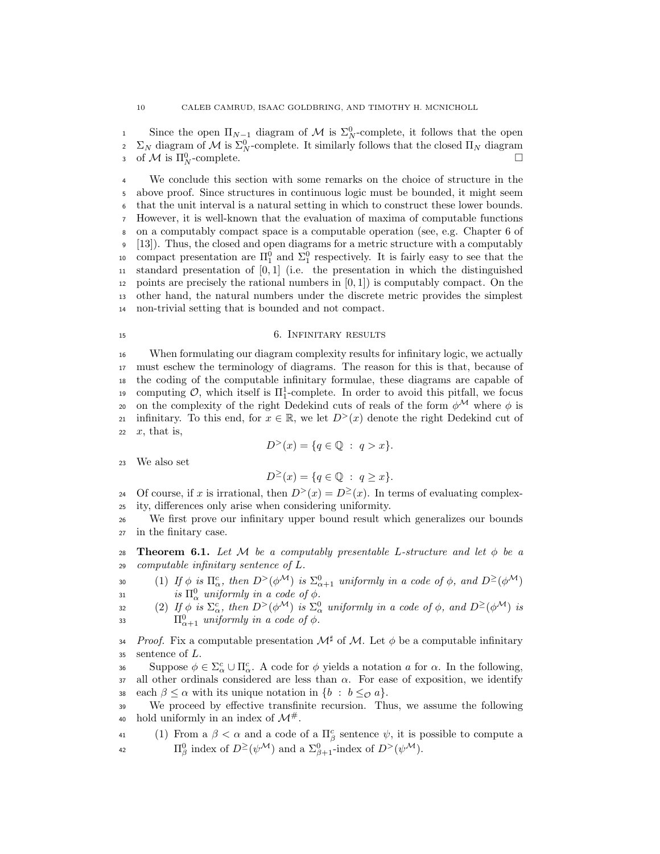since the open  $\Pi_{N-1}$  diagram of M is  $\Sigma_N^0$ -complete, it follows that the open  $\Sigma_N$  diagram of M is  $\Sigma_N^0$ -complete. It similarly follows that the closed Π<sub>N</sub> diagram 3 of M is  $\Pi_N^0$ -complete.

 We conclude this section with some remarks on the choice of structure in the above proof. Since structures in continuous logic must be bounded, it might seem that the unit interval is a natural setting in which to construct these lower bounds. However, it is well-known that the evaluation of maxima of computable functions on a computably compact space is a computable operation (see, e.g. Chapter 6 of [13]). Thus, the closed and open diagrams for a metric structure with a computably 10 compact presentation are  $\Pi_1^0$  and  $\Sigma_1^0$  respectively. It is fairly easy to see that the 11 standard presentation of  $[0, 1]$  (i.e. the presentation in which the distinguished 12 points are precisely the rational numbers in  $[0, 1]$  is computably compact. On the other hand, the natural numbers under the discrete metric provides the simplest non-trivial setting that is bounded and not compact.

#### 15 6. INFINITARY RESULTS

<sup>16</sup> When formulating our diagram complexity results for infinitary logic, we actually <sup>17</sup> must eschew the terminology of diagrams. The reason for this is that, because of <sup>18</sup> the coding of the computable infinitary formulae, these diagrams are capable of 19 computing  $\mathcal{O}$ , which itself is  $\Pi_1^1$ -complete. In order to avoid this pitfall, we focus 20 on the complexity of the right Dedekind cuts of reals of the form  $\phi^{\mathcal{M}}$  where  $\phi$  is 21 infinitary. To this end, for  $x \in \mathbb{R}$ , we let  $D^>(x)$  denote the right Dedekind cut of 22  $x$ , that is,

$$
D^{>}(x) = \{q \in \mathbb{Q} : q > x\}.
$$

<sup>23</sup> We also set

 $D^{\geq}(x) = \{q \in \mathbb{Q} : q \geq x\}.$ 

24 Of course, if x is irrational, then  $D^{>}(x) = D^{>}(x)$ . In terms of evaluating complex-<sup>25</sup> ity, differences only arise when considering uniformity.

<sup>26</sup> We first prove our infinitary upper bound result which generalizes our bounds <sup>27</sup> in the finitary case.

28 Theorem 6.1. Let M be a computably presentable L-structure and let  $\phi$  be a <sup>29</sup> computable infinitary sentence of L.

30 (1) If  $\phi$  is  $\Pi_{\alpha}^c$ , then  $D^>(\phi^{\mathcal{M}})$  is  $\Sigma_{\alpha+1}^0$  uniformly in a code of  $\phi$ , and  $D^{\geq}(\phi^{\mathcal{M}})$ 31 is  $\Pi_{\alpha}^{0}$  uniformly in a code of  $\phi$ .

32 (2) If  $\phi$  is  $\Sigma_{\alpha}^c$ , then  $D^>(\phi^{\mathcal{M}})$  is  $\Sigma_{\alpha}^0$  uniformly in a code of  $\phi$ , and  $D^{\geq}(\phi^{\mathcal{M}})$  is 33  $\Pi_{\alpha+1}^0$  uniformly in a code of  $\phi$ .

34 Proof. Fix a computable presentation  $\mathcal{M}^{\sharp}$  of M. Let  $\phi$  be a computable infinitary  $35$  sentence of  $L$ .

36 Suppose  $φ ∈ Σ<sup>c</sup><sub>α</sub> ∪ Π<sup>c</sup><sub>α</sub>$ . A code for  $φ$  yields a notation *a* for *α*. In the following, 37 all other ordinals considered are less than  $\alpha$ . For ease of exposition, we identify 38 each  $\beta \leq \alpha$  with its unique notation in  $\{b : b \leq_{\mathcal{O}} a\}.$ 

<sup>39</sup> We proceed by effective transfinite recursion. Thus, we assume the following 40 hold uniformly in an index of  $\mathcal{M}^{\#}$ .

41 (1) From a  $\beta < \alpha$  and a code of a  $\Pi^c_\beta$  sentence  $\psi$ , it is possible to compute a 42  $\Pi_{\beta}^0$  index of  $D^{\geq}(\psi^{\mathcal{M}})$  and a  $\Sigma_{\beta+1}^0$ -index of  $D^{>}(\psi^{\mathcal{M}})$ .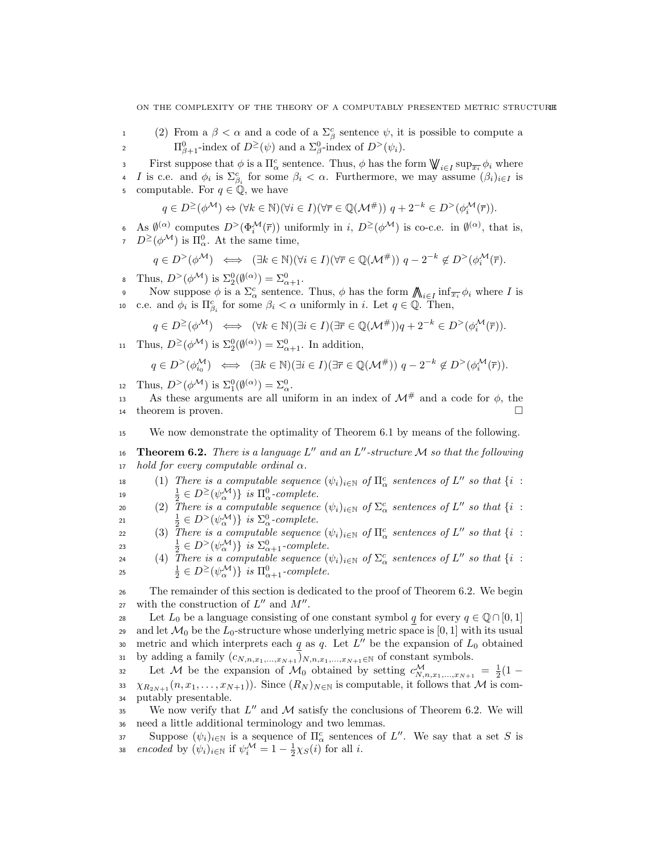- 1 (2) From a  $\beta < \alpha$  and a code of a  $\Sigma^c_\beta$  sentence  $\psi$ , it is possible to compute a 2  $\Pi_{\beta+1}^0$ -index of  $D^{\geq}(\psi)$  and a  $\Sigma_{\beta}^0$ -index of  $D^{>}(\psi_i)$ .
- First suppose that  $\phi$  is a  $\Pi_{\alpha}^{c}$  sentence. Thus,  $\phi$  has the form  $\bigvee \!\!\! \bigvee_{i \in I} \sup_{\overline{x_i}} \phi_i$  where <sup>4</sup> *I* is c.e. and  $\phi_i$  is  $\Sigma_{\beta_i}^c$  for some  $\beta_i < \alpha$ . Furthermore, we may assume  $(\beta_i)_{i \in I}$  is computable. For  $q \in \mathbb{Q}$ , we have

$$
q\in D^{\geq}(\phi^{\mathcal{M}})\Leftrightarrow (\forall k\in\mathbb{N})(\forall i\in I)(\forall \overline{r}\in\mathbb{Q}(\mathcal{M}^{\#}))\text{ }q+2^{-k}\in D^{>}(\phi_{i}^{\mathcal{M}}(\overline{r})).
$$

6 As  $\emptyset^{(\alpha)}$  computes  $D^>(\Phi_i^{\mathcal{M}}(\overline{r}))$  uniformly in i,  $D^{\geq}(\phi^{\mathcal{M}})$  is co-c.e. in  $\emptyset^{(\alpha)}$ , that is,  $D^{\geq}(\phi^{\mathcal{M}})$  is  $\Pi_{\alpha}^{0}$ . At the same time,

$$
q \in D^{>}(\phi^{\mathcal{M}}) \iff (\exists k \in \mathbb{N})(\forall i \in I)(\forall \overline{r} \in \mathbb{Q}(\mathcal{M}^{\#})) \ q - 2^{-k} \notin D^{>}(\phi_i^{\mathcal{M}}(\overline{r}).
$$

<sup>8</sup> Thus,  $D^>(\phi^{\mathcal{M}})$  is  $\Sigma^0_2(\emptyset^{(\alpha)}) = \Sigma^0_{\alpha+1}$ .

Now suppose  $\phi$  is a  $\Sigma^c_\alpha$  sentence. Thus,  $\phi$  has the form  $\bigwedge_{i\in I} \inf_{\overline{x_i}} \phi_i$  where I is 10 c.e. and  $\phi_i$  is  $\Pi_{\beta_i}^c$  for some  $\beta_i < \alpha$  uniformly in i. Let  $q \in \mathbb{Q}$ . Then,

$$
q \in D^{\geq}(\phi^{\mathcal{M}}) \iff (\forall k \in \mathbb{N})(\exists i \in I)(\exists \overline{r} \in \mathbb{Q}(\mathcal{M}^{\#}))q + 2^{-k} \in D^{>}(\phi_i^{\mathcal{M}}(\overline{r})).
$$

11 Thus,  $D^{\geq}(\phi^{\mathcal{M}})$  is  $\Sigma_2^0(\emptyset^{(\alpha)}) = \Sigma_{\alpha+1}^0$ . In addition,

$$
q \in D^{>}(\phi_{i_0}^{\mathcal{M}}) \iff (\exists k \in \mathbb{N})(\exists i \in I)(\exists \overline{r} \in \mathbb{Q}(\mathcal{M}^{\#})) q - 2^{-k} \notin D^{>}(\phi_i^{\mathcal{M}}(\overline{r})).
$$

12 Thus,  $D^>(\phi^{\mathcal{M}})$  is  $\Sigma_1^0(\emptyset^{(\alpha)}) = \Sigma_\alpha^0$ .

As these arguments are all uniform in an index of  $\mathcal{M}^{\#}$  and a code for  $\phi$ , the <sup>14</sup> theorem is proven.

<sup>15</sup> We now demonstrate the optimality of Theorem 6.1 by means of the following.

16 **Theorem 6.2.** There is a language  $L''$  and an  $L''$ -structure M so that the following 17 hold for every computable ordinal  $\alpha$ .

18 (1) There is a computable sequence  $(\psi_i)_{i\in\mathbb{N}}$  of  $\Pi^c_\alpha$  sentences of  $L''$  so that  $\{i :$ 19  $\frac{1}{2} \in D^{\geq}(\psi_{\alpha}^{\mathcal{M}})\}$  is  $\Pi_{\alpha}^{0}$ -complete.

20 (2) There is a computable sequence  $(\psi_i)_{i\in\mathbb{N}}$  of  $\Sigma^c_\alpha$  sentences of  $L''$  so that  $\{i :$ 21  $\frac{1}{2} \in D^>(\psi_\alpha^{\mathcal{M}})\}\$ is  $\Sigma_\alpha^0$ -complete.

22 (3) There is a computable sequence  $(\psi_i)_{i\in\mathbb{N}}$  of  $\Pi^c_\alpha$  sentences of  $L''$  so that  $\{i :$ 23  $\frac{1}{2} \in D^>(\psi_\alpha^{\mathcal{M}})\}$  is  $\Sigma_{\alpha+1}^0$ -complete.

24 (4) There is a computable sequence  $(\psi_i)_{i\in\mathbb{N}}$  of  $\Sigma^c_\alpha$  sentences of  $L''$  so that  $\{i :$ <sup>25</sup>  $\frac{1}{2} \in D^{\geq}(\psi_\alpha^{\mathcal{M}})\}$  is  $\Pi_{\alpha+1}^0$ -complete.

<sup>26</sup> The remainder of this section is dedicated to the proof of Theorem 6.2. We begin 27 with the construction of  $L''$  and  $M''$ .

28 Let  $L_0$  be a language consisting of one constant symbol q for every  $q \in \mathbb{Q} \cap [0,1]$ 29 and let  $\mathcal{M}_0$  be the  $L_0$ -structure whose underlying metric space is [0, 1] with its usual 30 metric and which interprets each q as q. Let  $L''$  be the expansion of  $L_0$  obtained <sup>31</sup> by adding a family  $(c_{N,n,x_1,...,x_{N+1}})_{N,n,x_1,...,x_{N+1} \in \mathbb{N}}$  of constant symbols.

32 Let M be the expansion of  $\mathcal{M}_0$  obtained by setting  $c_{N,n,x_1,...,x_{N+1}}^{\mathcal{M}} = \frac{1}{2}(1 -$ 33  $\chi_{R_{2N+1}}(n, x_1, \ldots, x_{N+1})$ ). Since  $(R_N)_{N \in \mathbb{N}}$  is computable, it follows that M is com-<sup>34</sup> putably presentable.

35 We now verify that  $L''$  and M satisfy the conclusions of Theorem 6.2. We will <sup>36</sup> need a little additional terminology and two lemmas.

Suppose  $(\psi_i)_{i\in\mathbb{N}}$  is a sequence of  $\Pi^c_\alpha$  sentences of L''. We say that a set S is 38 encoded by  $(\psi_i)_{i \in \mathbb{N}}$  if  $\psi_i^{\mathcal{M}} = 1 - \frac{1}{2}\chi_S(i)$  for all i.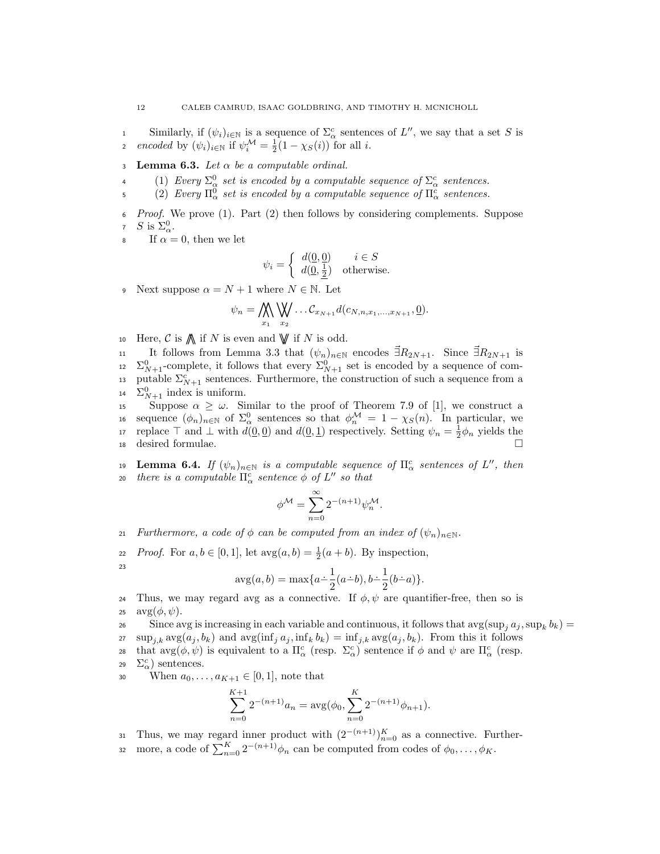similarly, if  $(\psi_i)_{i\in\mathbb{N}}$  is a sequence of  $\Sigma^c_\alpha$  sentences of  $L''$ , we say that a set S is 2 encoded by  $(\psi_i)_{i \in \mathbb{N}}$  if  $\psi_i^{\mathcal{M}} = \frac{1}{2}(1 - \chi_S(i))$  for all i.

- 3 Lemma 6.3. Let  $\alpha$  be a computable ordinal.
- 4 (1) Every  $\Sigma^0_\alpha$  set is encoded by a computable sequence of  $\Sigma^c_\alpha$  sentences.
- 5 (2) Every  $\Pi_{\alpha}^{0}$  set is encoded by a computable sequence of  $\Pi_{\alpha}^{c}$  sentences.
- *Proof.* We prove (1). Part (2) then follows by considering complements. Suppose 7 S is  $\Sigma^0_\alpha$ .

If  $\alpha = 0$ , then we let

$$
\psi_i = \begin{cases} d(\underline{0}, \underline{0}) & i \in S \\ d(\underline{0}, \frac{1}{2}) & \text{otherwise.} \end{cases}
$$

9 Next suppose  $\alpha = N + 1$  where  $N \in \mathbb{N}$ . Let

$$
\psi_n = \bigwedge_{x_1} \bigvee_{x_2} \dots C_{x_{N+1}} d(c_{N,n,x_1,\dots,x_{N+1}}, \underline{0}).
$$

10 Here,  $\mathcal C$  is  $\mathcal N$  if N is even and  $\mathcal V$  if N is odd.

11 It follows from Lemma 3.3 that  $(\psi_n)_{n \in \mathbb{N}}$  encodes  $\exists R_{2N+1}$ . Since  $\exists R_{2N+1}$  is 12  $\Sigma_{N+1}^0$ -complete, it follows that every  $\Sigma_{N+1}^0$  set is encoded by a sequence of com-13 putable  $\Sigma_{N+1}^c$  sentences. Furthermore, the construction of such a sequence from a 14  $\Sigma_{N+1}^0$  index is uniform.

15 Suppose  $\alpha \geq \omega$ . Similar to the proof of Theorem 7.9 of [1], we construct a is sequence  $(\phi_n)_{n\in\mathbb{N}}$  of  $\Sigma^0_\alpha$  sentences so that  $\phi_n^{\mathcal{M}} = 1 - \chi_S(n)$ . In particular, we 17 replace  $\top$  and  $\bot$  with  $d(0,0)$  and  $d(0,1)$  respectively. Setting  $\psi_n = \frac{1}{2}\phi_n$  yields the <sup>18</sup> desired formulae.

19 **Lemma 6.4.** If  $(\psi_n)_{n \in \mathbb{N}}$  is a computable sequence of  $\Pi^c_\alpha$  sentences of  $L''$ , then  $t^{20}$  there is a computable  $\Pi^{c}_{\alpha}$  sentence  $\phi$  of  $L''$  so that

$$
\phi^{\mathcal{M}} = \sum_{n=0}^{\infty} 2^{-(n+1)} \psi_n^{\mathcal{M}}.
$$

21 Furthermore, a code of  $\phi$  can be computed from an index of  $(\psi_n)_{n\in\mathbb{N}}$ .

22 *Proof.* For  $a, b \in [0, 1]$ , let  $\arg(a, b) = \frac{1}{2}(a + b)$ . By inspection, 23

$$
avg(a, b) = max\{a - \frac{1}{2}(a - b), b - \frac{1}{2}(b - a)\}.
$$

24 Thus, we may regard avg as a connective. If  $\phi, \psi$  are quantifier-free, then so is 25  $\arg(\phi, \psi)$ .

Since avg is increasing in each variable and continuous, it follows that  $\arg(\sup_j a_j, \sup_k b_k) =$ 

27  $\sup_{i,k} \arg(a_j, b_k)$  and  $\arg(\inf_j a_j, \inf_k b_k) = \inf_{j,k} \arg(a_j, b_k)$ . From this it follows 28 that  $\arg(\phi, \psi)$  is equivalent to a  $\Pi_{\alpha}^{c}$  (resp.  $\Sigma_{\alpha}^{c}$ ) sentence if  $\phi$  and  $\psi$  are  $\Pi_{\alpha}^{c}$  (resp.

29  $\Sigma^c_\alpha$ ) sentences.

30 When  $a_0, ..., a_{K+1} \in [0, 1]$ , note that

$$
\sum_{n=0}^{K+1} 2^{-(n+1)} a_n = \arg(\phi_0, \sum_{n=0}^{K} 2^{-(n+1)} \phi_{n+1}).
$$

31 Thus, we may regard inner product with  $(2^{-(n+1)})_{n=0}^K$  as a connective. Further-

32 more, a code of  $\sum_{n=0}^{K} 2^{-(n+1)} \phi_n$  can be computed from codes of  $\phi_0, \ldots, \phi_K$ .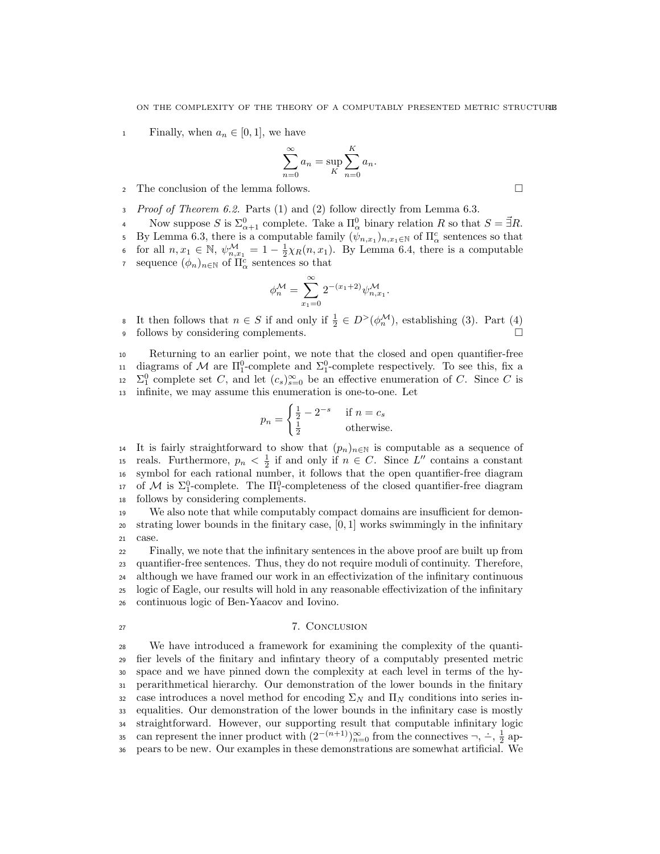1 Finally, when  $a_n \in [0, 1]$ , we have

$$
\sum_{n=0}^{\infty} a_n = \sup_K \sum_{n=0}^K a_n.
$$

- <sup>2</sup> The conclusion of the lemma follows.
- Proof of Theorem 6.2. Parts (1) and (2) follow directly from Lemma 6.3.
- Now suppose S is  $\Sigma_{\alpha+1}^0$  complete. Take a  $\Pi_{\alpha}^0$  binary relation R so that  $S = \vec{\exists} R$ . 5 By Lemma 6.3, there is a computable family  $(\psi_{n,x_1})_{n,x_1\in\mathbb{N}}$  of  $\Pi^c_\alpha$  sentences so that 6 for all  $n, x_1 \in \mathbb{N}$ ,  $\psi_{n, x_1}^{\mathcal{M}} = 1 - \frac{1}{2} \chi_R(n, x_1)$ . By Lemma 6.4, there is a computable sequence  $(\phi_n)_{n \in \mathbb{N}}$  of  $\Pi^c_\alpha$  sentences so that

$$
\phi_n^{\mathcal{M}}=\sum_{x_1=0}^{\infty}2^{-(x_1+2)}\psi_{n,x_1}^{\mathcal{M}}
$$

.

s It then follows that  $n \in S$  if and only if  $\frac{1}{2} \in D^>(\phi_n^{\mathcal{M}})$ , establishing (3). Part (4) <sup>9</sup> follows by considering complements.

 Returning to an earlier point, we note that the closed and open quantifier-free 11 diagrams of M are  $\Pi_1^0$ -complete and  $\Sigma_1^0$ -complete respectively. To see this, fix a  $\Sigma_1^0$  complete set C, and let  $(c_s)_{s=0}^{\infty}$  be an effective enumeration of C. Since C is infinite, we may assume this enumeration is one-to-one. Let

$$
p_n = \begin{cases} \frac{1}{2} - 2^{-s} & \text{if } n = c_s\\ \frac{1}{2} & \text{otherwise.} \end{cases}
$$

14 It is fairly straightforward to show that  $(p_n)_{n\in\mathbb{N}}$  is computable as a sequence of is reals. Furthermore,  $p_n < \frac{1}{2}$  if and only if  $n \in C$ . Since L'' contains a constant <sup>16</sup> symbol for each rational number, it follows that the open quantifier-free diagram 17 of M is  $\Sigma_1^0$ -complete. The  $\Pi_1^0$ -completeness of the closed quantifier-free diagram <sup>18</sup> follows by considering complements.

<sup>19</sup> We also note that while computably compact domains are insufficient for demon- $20$  strating lower bounds in the finitary case,  $[0, 1]$  works swimmingly in the infinitary <sup>21</sup> case.

 Finally, we note that the infinitary sentences in the above proof are built up from quantifier-free sentences. Thus, they do not require moduli of continuity. Therefore, although we have framed our work in an effectivization of the infinitary continuous logic of Eagle, our results will hold in any reasonable effectivization of the infinitary continuous logic of Ben-Yaacov and Iovino.

#### <sup>27</sup> 7. Conclusion

 We have introduced a framework for examining the complexity of the quanti- fier levels of the finitary and infintary theory of a computably presented metric space and we have pinned down the complexity at each level in terms of the hy- perarithmetical hierarchy. Our demonstration of the lower bounds in the finitary 32 case introduces a novel method for encoding  $\Sigma_N$  and  $\Pi_N$  conditions into series in- equalities. Our demonstration of the lower bounds in the infinitary case is mostly straightforward. However, our supporting result that computable infinitary logic can represent the inner product with  $(2^{-(n+1)})_{n=0}^{\infty}$  from the connectives  $\neg, \div, \frac{1}{2}$  ap-pears to be new. Our examples in these demonstrations are somewhat artificial. We